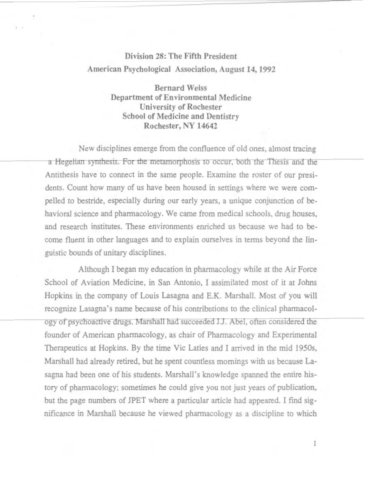## **Division 28: The Fifth President American Psychological Association, August 14, 1992**

**Bernard Weiss Department of Environmental Medicine University of Rochester School of Medicine and Dentistry Rochester, NY 14642** 

New disciplines emerge from the confluence of old ones, almost tracing a Hegelian synthesis. For the metamorphosis to occur, both the Thesis and the Antithesis have to connect in the same people. Examine the roster of our presidents. Count how many of us have been housed in settings where we were compelled to bestride, especially during our early years, a unique conjunction of behavioral science and pharmacology. We came from medical schools, drug houses, and research institutes. These environments enriched us because we had to become fluent in other languages and to explain ourselves in terms beyond the linguistic bounds of unitary disciplines.

Although I began my education in pharmacology while at the Air Force School of Aviation Medicine, in San Antonio, I assimilated most of it at Johns Hopkins in the company of Louis Lasagna and E.K. Marshall. Most of you will recognize Lasagna's name because of his contributions to the clinical phamacology of psychoactive drugs. Marshall had succeeded J.J. Abel, often considered the founder of American pharmacology, as chair of Pharmacology and Experimental Therapeutics at Hopkins. By the time Vic Laties and I arrived in the mid 1950s, Marshall had already retired, but he spent countless mornings with us because Lasagna had been one of his students. Marshall's knowledge spanned the entire history of pharmacology; sometimes he could give you not just years of publication, but the page numbers of JPET where a particular article had appeared. I find significance in Marshall because he viewed pharmacology as a discipline to which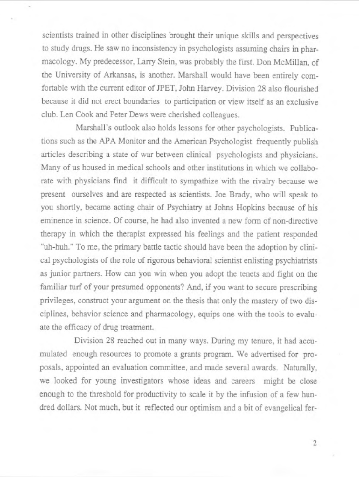scientists trained in other disciplines brought their unique skills and perspectives to study drugs. He saw no inconsistency in psychologists assuming chairs in pharmacology. My predecessor, Larry Stein, was probably the first. Don McMillan, of the University of Arkansas, is another. Marshall would have been entirely comfortable with the current editor of PET, John Harvey. Division 28 also flourished because it did not erect boundaries to participation or view itself as an exclusive club. Len Cook and Peter Dews were cherished colleagues.

Marshall's outlook also holds lessons for other psychologists. Publications such as the APA Monitor and the American Psychologist frequently publish articles describing a state of war between clinical psycbologists and physicians. Many of us housed in medical schools and other institutions in which we collaborate with physicians find it difficult to sympathize with the rivalry because we present ourselves and are respected as scientists. Joe Brady, who will speak to you shortly, became acting chair of Psychiatry at Johns Hopkins because of his eminence in science. Of course, he had also invented a new form of non-directive therapy in which the therapist expressed his feelings and the patient responded "uh-huh." To me, the primary battle tactic should have been the adoption by clinical psychologists of the role of rigorous behavioral scientist enlisting psychiatrists as junior partners. How can you win when you adopt the tenets and fight on the familiar turf of your presumed opponents? And, if you want to secure prescribing privileges, construct your argument on the thesis that only the mastery of two disciplines, behavior science and pharmacology, equips one with the tools to evaluate the efficacy of drug treatment.

Division 28 reached out in many ways. During my tenure, it had accumulated enough resources to promote a grants program. We advertised for proposals, appointed an evaluation committee, and made several awards. Naturally, we looked for young investigators whose ideas and careers might be close enough to the threshold for productivity to scale it by the infusion of a few hundred dollars. Not much, but it reflected our optimism and a bit of evangelical fer-

 $\overline{2}$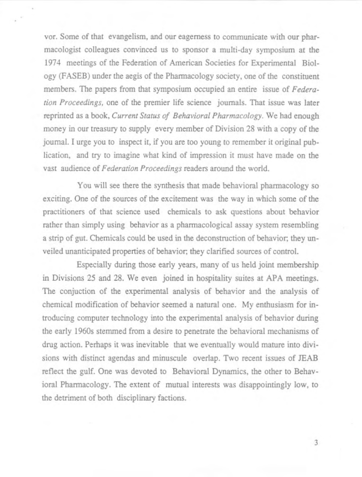vor. Some of that evangelism, and our eagerness to communicate with our pharmacologist colleagues convinced us to sponsor a multi-day symposium at the 1974 meetings of the Federation of American Societies for Experimental Biology (FASEB) under the aegis of the Pharmacology society, one of the constituent members. The papers from that symposium occupied an entire issue of *Federation Proceedings,* one of the premier life science journals. That issue was later reprinted as a book, *Current Status of Behavioral Pharmacology.* We had enough money in our treasury to supply every member of Division 28 with a copy of the jounnal. I urge you to inspect it, if you are too young to remember it original publication, and try to imagine what kind of impression it must have made on the vast audience of *Federation Proceedings* readers around the world.

You will see there the synthesis that made behavioral pharmacology so exciting. One of the sources of the excitement was the way in which some of the practitioners of that science used chemicals to ask questions about behavior rather than simply using behavior as a pharmacological assay system resembling a strip of gut. Chemicals could be used in the deconstruction of behavior; they unveiled unanticipated properties of behavior; they clarified sources of control.

Especially during those early years, many of us held joint membership in Divisions 25 and 28. We even joined in hospitality suites at APA meetings. The conjuction of the experimental analysis of behavior and the analysis of chemical modification of behavior seemed a natural one. My enthusiasm for introducing computer technology into the experimental analysis of behavior during the early 1960s stemmed from a desire to penetrate the behavioral mechanisms of drug action. Perhaps it was inevitable that we eventually would mature into divisions with distinct agendas and minuscule overlap. Two recent issues of JEAB reflect the gulf. One was devoted to Behavioral Dynamics, the other to Behavioral Pharmacology. The extent of mutual interests was disappointingly low, to the detriment of both disciplinary factions.